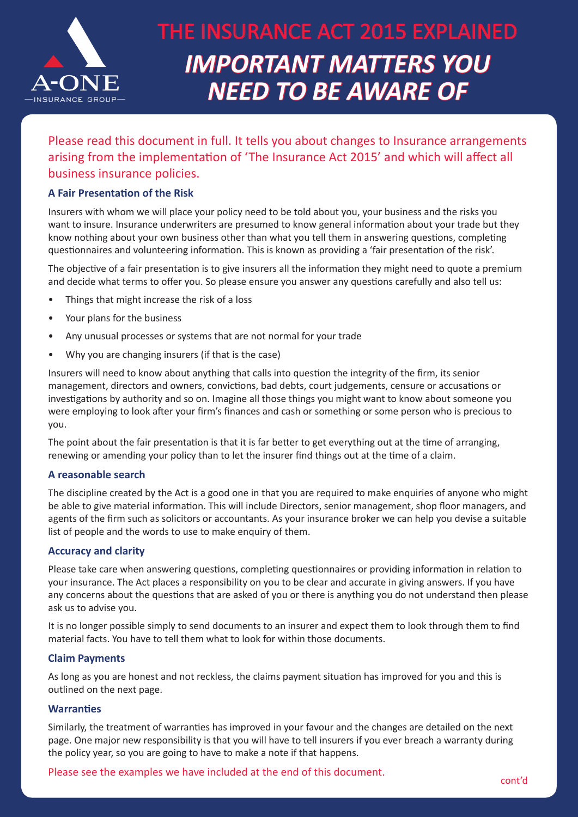

### Please read this document in full. It tells you about changes to Insurance arrangements arising from the implementation of 'The Insurance Act 2015' and which will affect all business insurance policies.

#### **A Fair Presentation of the Risk**

Insurers with whom we will place your policy need to be told about you, your business and the risks you want to insure. Insurance underwriters are presumed to know general information about your trade but they know nothing about your own business other than what you tell them in answering questions, completing questionnaires and volunteering information. This is known as providing a 'fair presentation of the risk'.

The objective of a fair presentation is to give insurers all the information they might need to quote a premium and decide what terms to offer you. So please ensure you answer any questions carefully and also tell us:

- Things that might increase the risk of a loss
- Your plans for the business
- Any unusual processes or systems that are not normal for your trade
- Why you are changing insurers (if that is the case)

Insurers will need to know about anything that calls into question the integrity of the firm, its senior management, directors and owners, convictions, bad debts, court judgements, censure or accusations or investigations by authority and so on. Imagine all those things you might want to know about someone you were employing to look after your firm's finances and cash or something or some person who is precious to you.

The point about the fair presentation is that it is far better to get everything out at the time of arranging, renewing or amending your policy than to let the insurer find things out at the time of a claim.

#### **A reasonable search**

The discipline created by the Act is a good one in that you are required to make enquiries of anyone who might be able to give material information. This will include Directors, senior management, shop floor managers, and agents of the firm such as solicitors or accountants. As your insurance broker we can help you devise a suitable list of people and the words to use to make enquiry of them.

#### **Accuracy and clarity**

Please take care when answering questions, completing questionnaires or providing information in relation to your insurance. The Act places a responsibility on you to be clear and accurate in giving answers. If you have any concerns about the questions that are asked of you or there is anything you do not understand then please ask us to advise you.

It is no longer possible simply to send documents to an insurer and expect them to look through them to find material facts. You have to tell them what to look for within those documents.

#### **Claim Payments**

As long as you are honest and not reckless, the claims payment situation has improved for you and this is outlined on the next page.

#### **Warranties**

Similarly, the treatment of warranties has improved in your favour and the changes are detailed on the next page. One major new responsibility is that you will have to tell insurers if you ever breach a warranty during the policy year, so you are going to have to make a note if that happens.

Please see the examples we have included at the end of this document.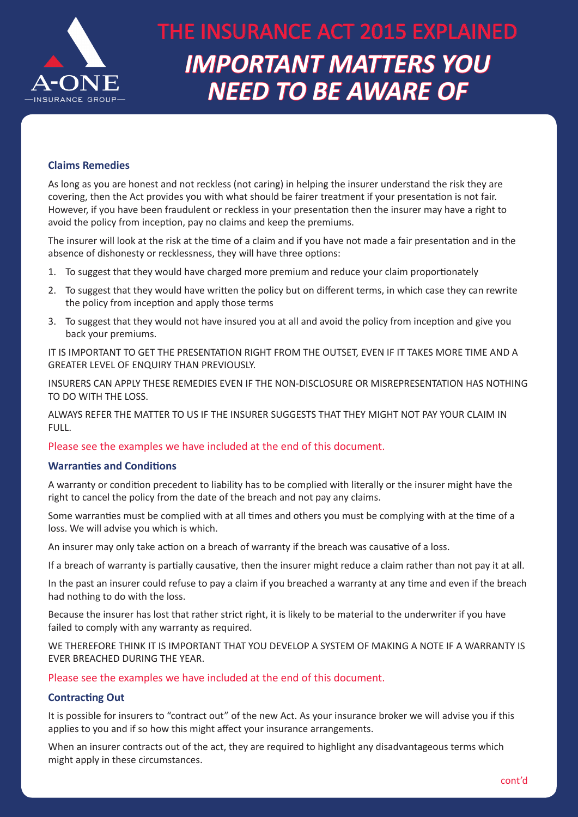

#### **Claims Remedies**

As long as you are honest and not reckless (not caring) in helping the insurer understand the risk they are covering, then the Act provides you with what should be fairer treatment if your presentation is not fair. However, if you have been fraudulent or reckless in your presentation then the insurer may have a right to avoid the policy from inception, pay no claims and keep the premiums.

The insurer will look at the risk at the time of a claim and if you have not made a fair presentation and in the absence of dishonesty or recklessness, they will have three options:

- 1. To suggest that they would have charged more premium and reduce your claim proportionately
- 2. To suggest that they would have written the policy but on different terms, in which case they can rewrite the policy from inception and apply those terms
- 3. To suggest that they would not have insured you at all and avoid the policy from inception and give you back your premiums.

IT IS IMPORTANT TO GET THE PRESENTATION RIGHT FROM THE OUTSET, EVEN IF IT TAKES MORE TIME AND A GREATER LEVEL OF ENQUIRY THAN PREVIOUSLY.

INSURERS CAN APPLY THESE REMEDIES EVEN IF THE NON-DISCLOSURE OR MISREPRESENTATION HAS NOTHING TO DO WITH THE LOSS.

ALWAYS REFER THE MATTER TO US IF THE INSURER SUGGESTS THAT THEY MIGHT NOT PAY YOUR CLAIM IN FULL.

Please see the examples we have included at the end of this document.

#### **Warranties and Conditions**

A warranty or condition precedent to liability has to be complied with literally or the insurer might have the right to cancel the policy from the date of the breach and not pay any claims.

Some warranties must be complied with at all times and others you must be complying with at the time of a loss. We will advise you which is which.

An insurer may only take action on a breach of warranty if the breach was causative of a loss.

If a breach of warranty is partially causative, then the insurer might reduce a claim rather than not pay it at all.

In the past an insurer could refuse to pay a claim if you breached a warranty at any time and even if the breach had nothing to do with the loss.

Because the insurer has lost that rather strict right, it is likely to be material to the underwriter if you have failed to comply with any warranty as required.

WE THEREFORE THINK IT IS IMPORTANT THAT YOU DEVELOP A SYSTEM OF MAKING A NOTE IF A WARRANTY IS EVER BREACHED DURING THE YEAR.

Please see the examples we have included at the end of this document.

#### **Contracting Out**

It is possible for insurers to "contract out" of the new Act. As your insurance broker we will advise you if this applies to you and if so how this might affect your insurance arrangements.

When an insurer contracts out of the act, they are required to highlight any disadvantageous terms which might apply in these circumstances.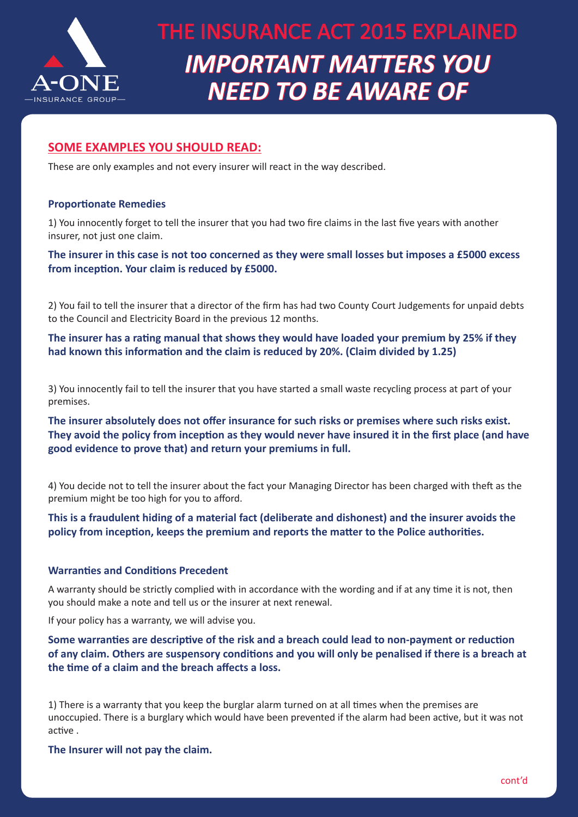

### **SOME EXAMPLES YOU SHOULD READ:**

These are only examples and not every insurer will react in the way described.

#### **Proportionate Remedies**

1) You innocently forget to tell the insurer that you had two fire claims in the last five years with another insurer, not just one claim.

**The insurer in this case is not too concerned as they were small losses but imposes a £5000 excess from inception. Your claim is reduced by £5000.** 

2) You fail to tell the insurer that a director of the firm has had two County Court Judgements for unpaid debts to the Council and Electricity Board in the previous 12 months.

**The insurer has a rating manual that shows they would have loaded your premium by 25% if they had known this information and the claim is reduced by 20%. (Claim divided by 1.25)** 

3) You innocently fail to tell the insurer that you have started a small waste recycling process at part of your premises.

**The insurer absolutely does not offer insurance for such risks or premises where such risks exist. They avoid the policy from inception as they would never have insured it in the first place (and have good evidence to prove that) and return your premiums in full.** 

4) You decide not to tell the insurer about the fact your Managing Director has been charged with theft as the premium might be too high for you to afford.

**This is a fraudulent hiding of a material fact (deliberate and dishonest) and the insurer avoids the policy from inception, keeps the premium and reports the matter to the Police authorities.** 

#### **Warranties and Conditions Precedent**

A warranty should be strictly complied with in accordance with the wording and if at any time it is not, then you should make a note and tell us or the insurer at next renewal.

If your policy has a warranty, we will advise you.

**Some warranties are descriptive of the risk and a breach could lead to non-payment or reduction of any claim. Others are suspensory conditions and you will only be penalised if there is a breach at the time of a claim and the breach affects a loss.** 

1) There is a warranty that you keep the burglar alarm turned on at all times when the premises are unoccupied. There is a burglary which would have been prevented if the alarm had been active, but it was not active .

**The Insurer will not pay the claim.**